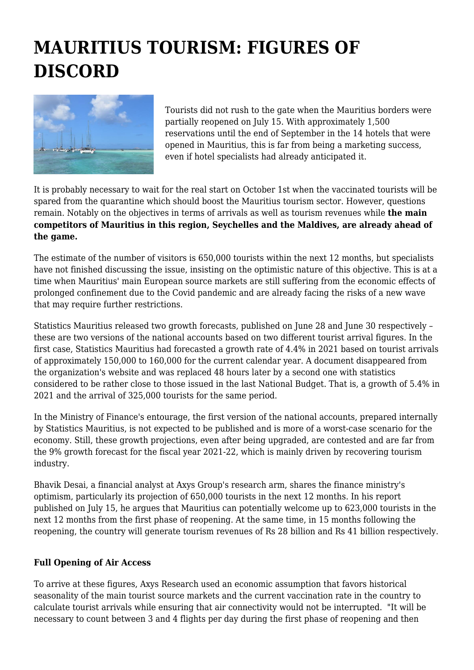## **MAURITIUS TOURISM: FIGURES OF DISCORD**



Tourists did not rush to the gate when the Mauritius borders were partially reopened on July 15. With approximately 1,500 reservations until the end of September in the 14 hotels that were opened in Mauritius, this is far from being a marketing success, even if hotel specialists had already anticipated it.

It is probably necessary to wait for the real start on October 1st when the vaccinated tourists will be spared from the quarantine which should boost the Mauritius tourism sector. However, questions remain. Notably on the objectives in terms of arrivals as well as tourism revenues while **the main competitors of Mauritius in this region, Seychelles and the Maldives, are already ahead of the game.**

The estimate of the number of visitors is 650,000 tourists within the next 12 months, but specialists have not finished discussing the issue, insisting on the optimistic nature of this objective. This is at a time when Mauritius' main European source markets are still suffering from the economic effects of prolonged confinement due to the Covid pandemic and are already facing the risks of a new wave that may require further restrictions.

Statistics Mauritius released two growth forecasts, published on June 28 and June 30 respectively – these are two versions of the national accounts based on two different tourist arrival figures. In the first case, Statistics Mauritius had forecasted a growth rate of 4.4% in 2021 based on tourist arrivals of approximately 150,000 to 160,000 for the current calendar year. A document disappeared from the organization's website and was replaced 48 hours later by a second one with statistics considered to be rather close to those issued in the last National Budget. That is, a growth of 5.4% in 2021 and the arrival of 325,000 tourists for the same period.

In the Ministry of Finance's entourage, the first version of the national accounts, prepared internally by Statistics Mauritius, is not expected to be published and is more of a worst-case scenario for the economy. Still, these growth projections, even after being upgraded, are contested and are far from the 9% growth forecast for the fiscal year 2021-22, which is mainly driven by recovering tourism industry.

Bhavik Desai, a financial analyst at Axys Group's research arm, shares the finance ministry's optimism, particularly its projection of 650,000 tourists in the next 12 months. In his report published on July 15, he argues that Mauritius can potentially welcome up to 623,000 tourists in the next 12 months from the first phase of reopening. At the same time, in 15 months following the reopening, the country will generate tourism revenues of Rs 28 billion and Rs 41 billion respectively.

## **Full Opening of Air Access**

To arrive at these figures, Axys Research used an economic assumption that favors historical seasonality of the main tourist source markets and the current vaccination rate in the country to calculate tourist arrivals while ensuring that air connectivity would not be interrupted. "It will be necessary to count between 3 and 4 flights per day during the first phase of reopening and then